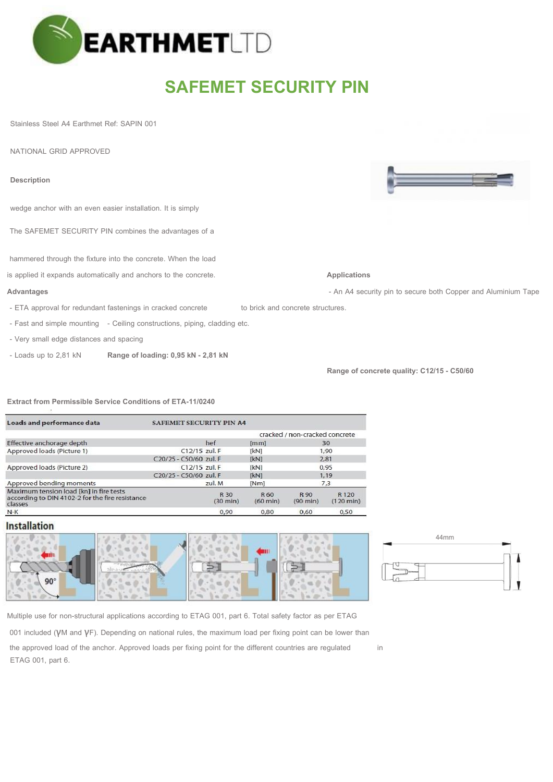

## **SAFEMET SECURITY PIN**

Stainless Steel A4 Earthmet Ref: SAPIN 001

NATIONAL GRID APPROVED

The SAFEMET SECURITY PIN combines the advantages of a hammered through the fixture into the concrete. When the load is applied it expands automatically and anchors to the concrete. **Applications Advantages Advantages and Advantages - An A4 security pin to secure both Copper and Aluminium Tape** - ETA approval for redundant fastenings in cracked concrete to brick and concrete structures. - Fast and simple mounting - Ceiling constructions, piping, cladding etc. - Very small edge distances and spacing **Description** wedge anchor with an even easier installation. It is simply

- Loads up to 2,81 kN **Range of loading: 0,95 kN - 2,81 kN** 

**Range of concrete quality: C12/15 - C50/60**

**Extract from Permissible Service Conditions of ETA-11/0240** 

| Loads and performance data                                                                            | <b>SAFEMET SECURITY PIN A4</b> |                            |                            |                                |                                         |  |
|-------------------------------------------------------------------------------------------------------|--------------------------------|----------------------------|----------------------------|--------------------------------|-----------------------------------------|--|
|                                                                                                       |                                |                            |                            | cracked / non-cracked concrete |                                         |  |
| Effective anchorage depth                                                                             |                                | hef                        | [mm]                       | 30                             |                                         |  |
| Approved loads (Picture 1)                                                                            | C12/15 zul. F                  |                            | [kN]                       | 1,90                           |                                         |  |
|                                                                                                       | C20/25 - C50/60 zul. F         |                            | <b>IkN1</b>                | 2,81                           |                                         |  |
| Approved loads (Picture 2)                                                                            | C12/15 zul. F                  |                            | [kN]                       | 0,95                           |                                         |  |
|                                                                                                       | C20/25 - C50/60 zul. F         |                            | <b>TkN1</b>                | 1.19                           |                                         |  |
| Approved bending moments                                                                              |                                | zul. M                     | [Nm]                       | 7,3                            |                                         |  |
| Maximum tension load [kn] in fire tests<br>according to DIN 4102-2 for the fire resistance<br>classes |                                | R 30<br>$(30 \text{ min})$ | R 60<br>$(60 \text{ min})$ | R 90<br>$(90 \text{ min})$     | R <sub>120</sub><br>$(120 \text{ min})$ |  |
| $N-K$                                                                                                 |                                | 0,90                       | 0.80                       | 0,60                           | 0,50                                    |  |

## **Installation**





Multiple use for non-structural applications according to ETAG 001, part 6. Total safety factor as per ETAG

001 included (γM and γF). Depending on national rules, the maximum load per fixing point can be lower than

the approved load of the anchor. Approved loads per fixing point for the different countries are regulated in ETAG 001, part 6.